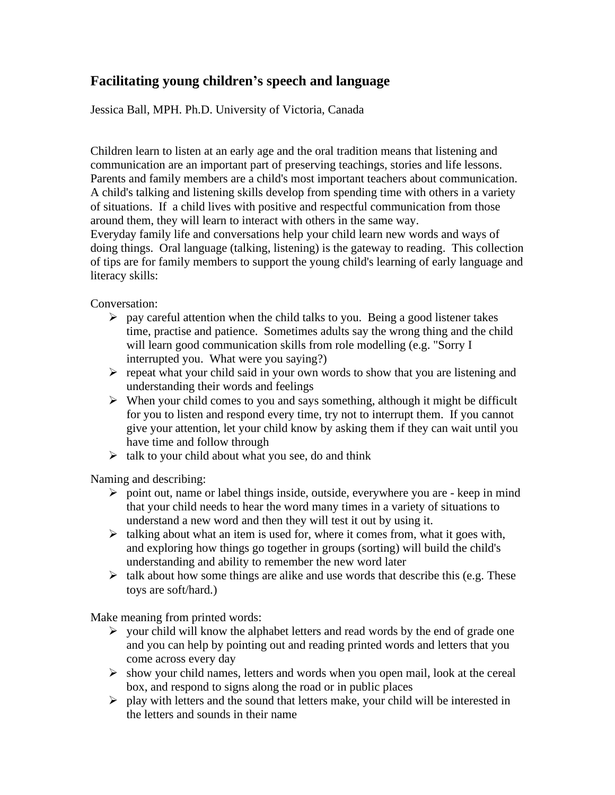## **Facilitating young children's speech and language**

Jessica Ball, MPH. Ph.D. University of Victoria, Canada

Children learn to listen at an early age and the oral tradition means that listening and communication are an important part of preserving teachings, stories and life lessons. Parents and family members are a child's most important teachers about communication. A child's talking and listening skills develop from spending time with others in a variety of situations. If a child lives with positive and respectful communication from those around them, they will learn to interact with others in the same way.

Everyday family life and conversations help your child learn new words and ways of doing things. Oral language (talking, listening) is the gateway to reading. This collection of tips are for family members to support the young child's learning of early language and literacy skills:

Conversation:

- $\triangleright$  pay careful attention when the child talks to you. Being a good listener takes time, practise and patience. Sometimes adults say the wrong thing and the child will learn good communication skills from role modelling (e.g. "Sorry I interrupted you. What were you saying?)
- $\triangleright$  repeat what your child said in your own words to show that you are listening and understanding their words and feelings
- $\triangleright$  When your child comes to you and says something, although it might be difficult for you to listen and respond every time, try not to interrupt them. If you cannot give your attention, let your child know by asking them if they can wait until you have time and follow through
- $\triangleright$  talk to your child about what you see, do and think

Naming and describing:

- ➢ point out, name or label things inside, outside, everywhere you are keep in mind that your child needs to hear the word many times in a variety of situations to understand a new word and then they will test it out by using it.
- $\triangleright$  talking about what an item is used for, where it comes from, what it goes with, and exploring how things go together in groups (sorting) will build the child's understanding and ability to remember the new word later
- $\triangleright$  talk about how some things are alike and use words that describe this (e.g. These toys are soft/hard.)

Make meaning from printed words:

- $\triangleright$  your child will know the alphabet letters and read words by the end of grade one and you can help by pointing out and reading printed words and letters that you come across every day
- ➢ show your child names, letters and words when you open mail, look at the cereal box, and respond to signs along the road or in public places
- ➢ play with letters and the sound that letters make, your child will be interested in the letters and sounds in their name